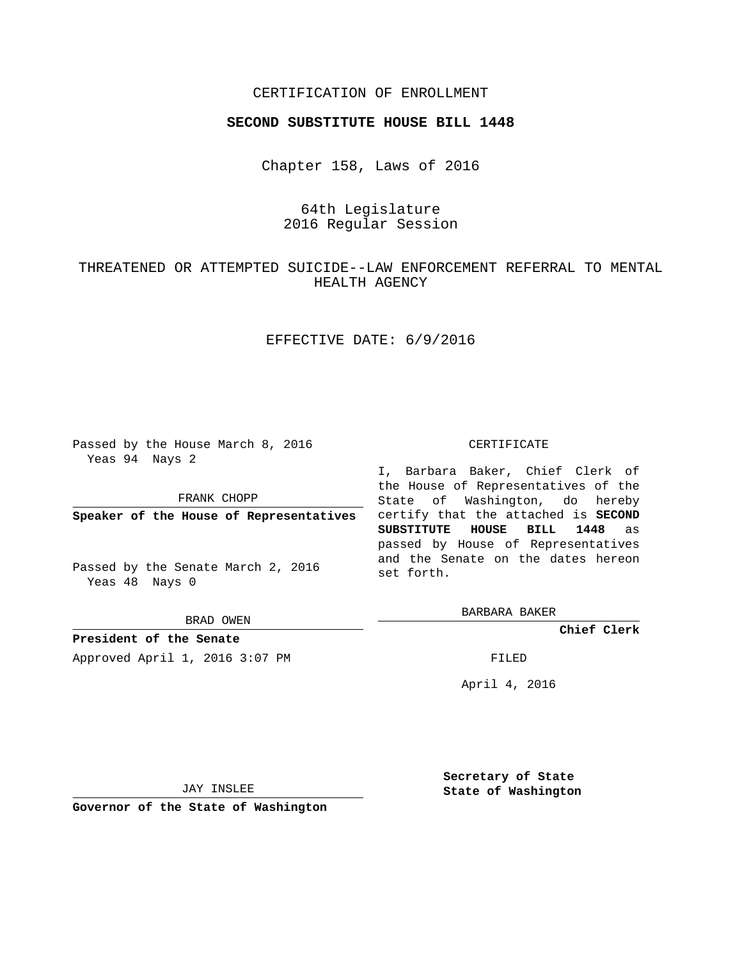## CERTIFICATION OF ENROLLMENT

## **SECOND SUBSTITUTE HOUSE BILL 1448**

Chapter 158, Laws of 2016

# 64th Legislature 2016 Regular Session

# THREATENED OR ATTEMPTED SUICIDE--LAW ENFORCEMENT REFERRAL TO MENTAL HEALTH AGENCY

## EFFECTIVE DATE: 6/9/2016

Passed by the House March 8, 2016 Yeas 94 Nays 2

FRANK CHOPP

**Speaker of the House of Representatives**

Passed by the Senate March 2, 2016 Yeas 48 Nays 0

BRAD OWEN

**President of the Senate**

Approved April 1, 2016 3:07 PM FILED

#### CERTIFICATE

I, Barbara Baker, Chief Clerk of the House of Representatives of the State of Washington, do hereby certify that the attached is **SECOND SUBSTITUTE HOUSE BILL 1448** as passed by House of Representatives and the Senate on the dates hereon set forth.

BARBARA BAKER

**Chief Clerk**

April 4, 2016

JAY INSLEE

**Governor of the State of Washington**

**Secretary of State State of Washington**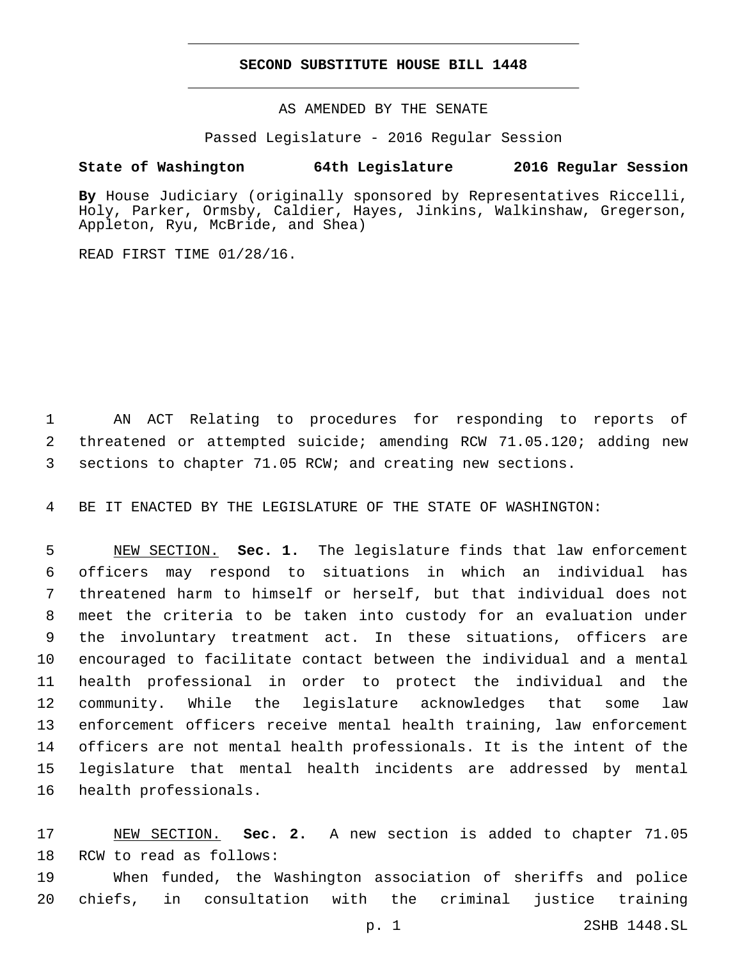## **SECOND SUBSTITUTE HOUSE BILL 1448**

AS AMENDED BY THE SENATE

Passed Legislature - 2016 Regular Session

# **State of Washington 64th Legislature 2016 Regular Session**

**By** House Judiciary (originally sponsored by Representatives Riccelli, Holy, Parker, Ormsby, Caldier, Hayes, Jinkins, Walkinshaw, Gregerson, Appleton, Ryu, McBride, and Shea)

READ FIRST TIME 01/28/16.

 AN ACT Relating to procedures for responding to reports of threatened or attempted suicide; amending RCW 71.05.120; adding new sections to chapter 71.05 RCW; and creating new sections.

BE IT ENACTED BY THE LEGISLATURE OF THE STATE OF WASHINGTON:

 NEW SECTION. **Sec. 1.** The legislature finds that law enforcement officers may respond to situations in which an individual has threatened harm to himself or herself, but that individual does not meet the criteria to be taken into custody for an evaluation under the involuntary treatment act. In these situations, officers are encouraged to facilitate contact between the individual and a mental health professional in order to protect the individual and the community. While the legislature acknowledges that some law enforcement officers receive mental health training, law enforcement officers are not mental health professionals. It is the intent of the legislature that mental health incidents are addressed by mental health professionals.

 NEW SECTION. **Sec. 2.** A new section is added to chapter 71.05 18 RCW to read as follows:

 When funded, the Washington association of sheriffs and police chiefs, in consultation with the criminal justice training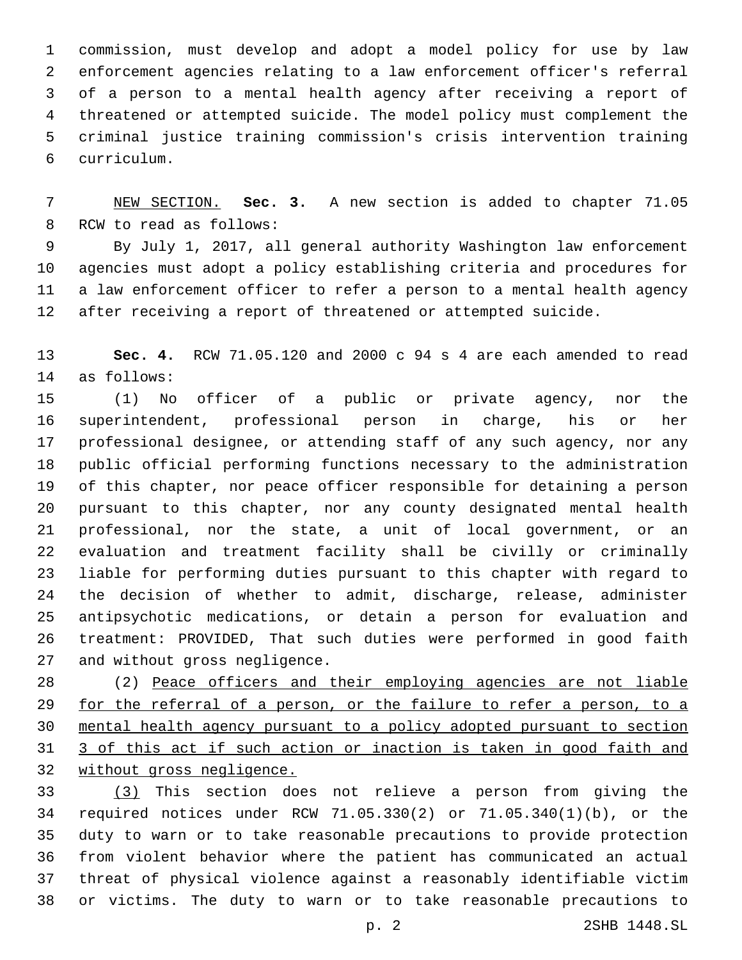commission, must develop and adopt a model policy for use by law enforcement agencies relating to a law enforcement officer's referral of a person to a mental health agency after receiving a report of threatened or attempted suicide. The model policy must complement the criminal justice training commission's crisis intervention training curriculum.6

 NEW SECTION. **Sec. 3.** A new section is added to chapter 71.05 8 RCW to read as follows:

 By July 1, 2017, all general authority Washington law enforcement agencies must adopt a policy establishing criteria and procedures for a law enforcement officer to refer a person to a mental health agency after receiving a report of threatened or attempted suicide.

 **Sec. 4.** RCW 71.05.120 and 2000 c 94 s 4 are each amended to read as follows:14

 (1) No officer of a public or private agency, nor the superintendent, professional person in charge, his or her professional designee, or attending staff of any such agency, nor any public official performing functions necessary to the administration of this chapter, nor peace officer responsible for detaining a person pursuant to this chapter, nor any county designated mental health professional, nor the state, a unit of local government, or an evaluation and treatment facility shall be civilly or criminally liable for performing duties pursuant to this chapter with regard to the decision of whether to admit, discharge, release, administer antipsychotic medications, or detain a person for evaluation and treatment: PROVIDED, That such duties were performed in good faith 27 and without gross negligence.

 (2) Peace officers and their employing agencies are not liable for the referral of a person, or the failure to refer a person, to a mental health agency pursuant to a policy adopted pursuant to section 3 of this act if such action or inaction is taken in good faith and without gross negligence.

 (3) This section does not relieve a person from giving the required notices under RCW 71.05.330(2) or 71.05.340(1)(b), or the duty to warn or to take reasonable precautions to provide protection from violent behavior where the patient has communicated an actual threat of physical violence against a reasonably identifiable victim or victims. The duty to warn or to take reasonable precautions to

p. 2 2SHB 1448.SL